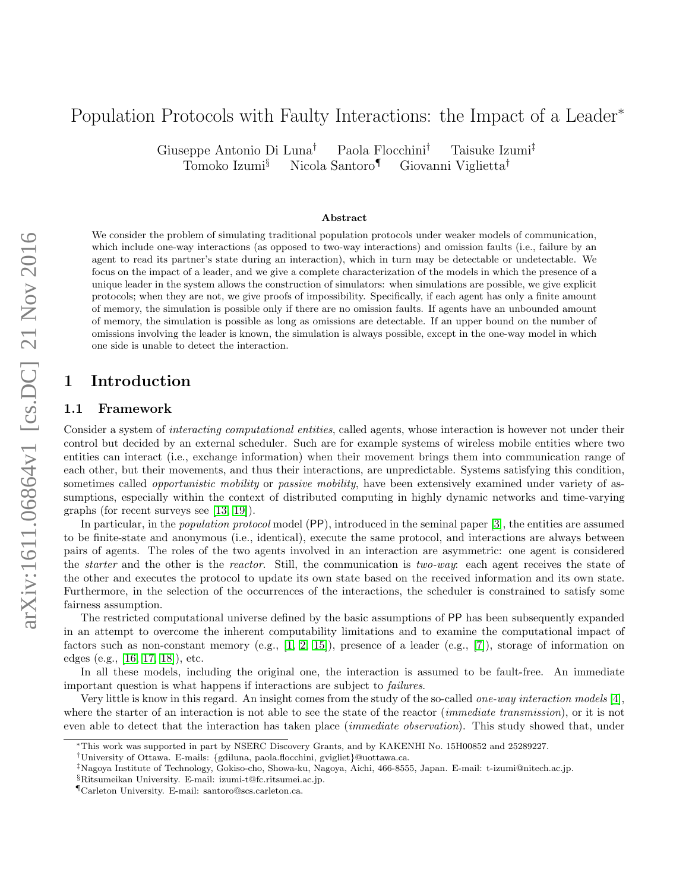# Population Protocols with Faulty Interactions: the Impact of a Leader<sup>∗</sup>

Giuseppe Antonio Di Luna† Paola Flocchini† Taisuke Izumi‡ Tomoko Izumi§ Nicola Santoro¶ Giovanni Viglietta†

#### Abstract

We consider the problem of simulating traditional population protocols under weaker models of communication, which include one-way interactions (as opposed to two-way interactions) and omission faults (i.e., failure by an agent to read its partner's state during an interaction), which in turn may be detectable or undetectable. We focus on the impact of a leader, and we give a complete characterization of the models in which the presence of a unique leader in the system allows the construction of simulators: when simulations are possible, we give explicit protocols; when they are not, we give proofs of impossibility. Specifically, if each agent has only a finite amount of memory, the simulation is possible only if there are no omission faults. If agents have an unbounded amount of memory, the simulation is possible as long as omissions are detectable. If an upper bound on the number of omissions involving the leader is known, the simulation is always possible, except in the one-way model in which one side is unable to detect the interaction.

## 1 Introduction

#### 1.1 Framework

Consider a system of *interacting computational entities*, called agents, whose interaction is however not under their control but decided by an external scheduler. Such are for example systems of wireless mobile entities where two entities can interact (i.e., exchange information) when their movement brings them into communication range of each other, but their movements, and thus their interactions, are unpredictable. Systems satisfying this condition, sometimes called *opportunistic mobility* or *passive mobility*, have been extensively examined under variety of assumptions, especially within the context of distributed computing in highly dynamic networks and time-varying graphs (for recent surveys see [\[13,](#page-12-0) [19\]](#page-12-1)).

In particular, in the *population protocol* model (PP), introduced in the seminal paper [\[3\]](#page-12-2), the entities are assumed to be finite-state and anonymous (i.e., identical), execute the same protocol, and interactions are always between pairs of agents. The roles of the two agents involved in an interaction are asymmetric: one agent is considered the *starter* and the other is the *reactor*. Still, the communication is *two-way*: each agent receives the state of the other and executes the protocol to update its own state based on the received information and its own state. Furthermore, in the selection of the occurrences of the interactions, the scheduler is constrained to satisfy some fairness assumption.

The restricted computational universe defined by the basic assumptions of PP has been subsequently expanded in an attempt to overcome the inherent computability limitations and to examine the computational impact of factors such as non-constant memory (e.g.,  $[1, 2, 15]$  $[1, 2, 15]$  $[1, 2, 15]$ ), presence of a leader (e.g.,  $[7]$ ), storage of information on edges (e.g., [\[16,](#page-12-7) [17,](#page-12-8) [18\]](#page-12-9)), etc.

In all these models, including the original one, the interaction is assumed to be fault-free. An immediate important question is what happens if interactions are subject to failures.

Very little is know in this regard. An insight comes from the study of the so-called one-way interaction models [\[4\]](#page-12-10), where the starter of an interaction is not able to see the state of the reactor (*immediate transmission*), or it is not even able to detect that the interaction has taken place *(immediate observation)*. This study showed that, under

<sup>∗</sup>This work was supported in part by NSERC Discovery Grants, and by KAKENHI No. 15H00852 and 25289227.

<sup>†</sup>University of Ottawa. E-mails: {gdiluna, paola.flocchini, gvigliet}@uottawa.ca.

<sup>‡</sup>Nagoya Institute of Technology, Gokiso-cho, Showa-ku, Nagoya, Aichi, 466-8555, Japan. E-mail: t-izumi@nitech.ac.jp.

<sup>§</sup>Ritsumeikan University. E-mail: izumi-t@fc.ritsumei.ac.jp.

<sup>¶</sup>Carleton University. E-mail: santoro@scs.carleton.ca.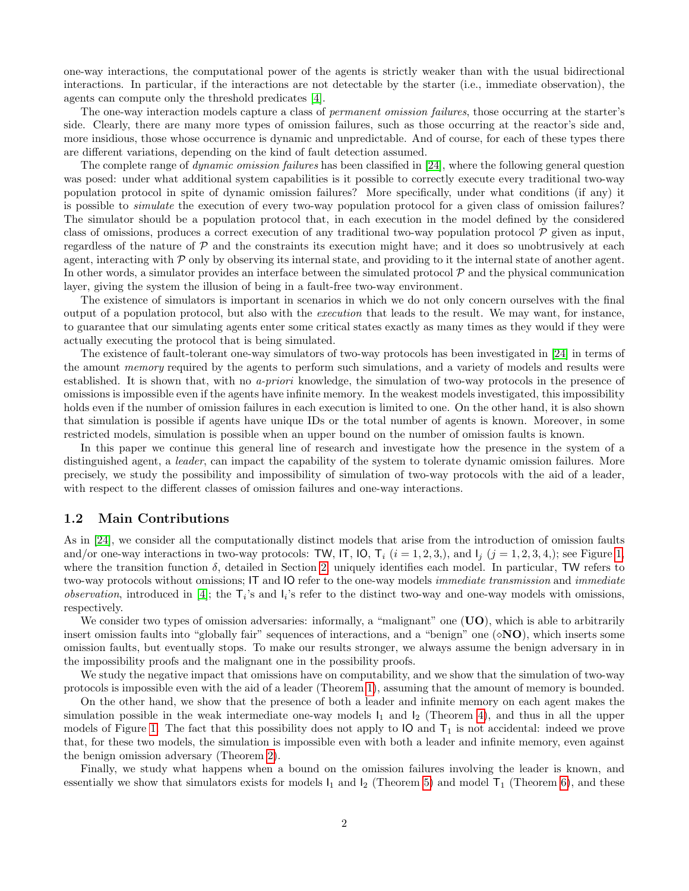one-way interactions, the computational power of the agents is strictly weaker than with the usual bidirectional interactions. In particular, if the interactions are not detectable by the starter (i.e., immediate observation), the agents can compute only the threshold predicates [\[4\]](#page-12-10).

The one-way interaction models capture a class of *permanent omission failures*, those occurring at the starter's side. Clearly, there are many more types of omission failures, such as those occurring at the reactor's side and, more insidious, those whose occurrence is dynamic and unpredictable. And of course, for each of these types there are different variations, depending on the kind of fault detection assumed.

The complete range of *dynamic omission failures* has been classified in [\[24\]](#page-13-0), where the following general question was posed: under what additional system capabilities is it possible to correctly execute every traditional two-way population protocol in spite of dynamic omission failures? More specifically, under what conditions (if any) it is possible to simulate the execution of every two-way population protocol for a given class of omission failures? The simulator should be a population protocol that, in each execution in the model defined by the considered class of omissions, produces a correct execution of any traditional two-way population protocol  $P$  given as input, regardless of the nature of  $\mathcal P$  and the constraints its execution might have; and it does so unobtrusively at each agent, interacting with  $P$  only by observing its internal state, and providing to it the internal state of another agent. In other words, a simulator provides an interface between the simulated protocol  $P$  and the physical communication layer, giving the system the illusion of being in a fault-free two-way environment.

The existence of simulators is important in scenarios in which we do not only concern ourselves with the final output of a population protocol, but also with the execution that leads to the result. We may want, for instance, to guarantee that our simulating agents enter some critical states exactly as many times as they would if they were actually executing the protocol that is being simulated.

The existence of fault-tolerant one-way simulators of two-way protocols has been investigated in [\[24\]](#page-13-0) in terms of the amount memory required by the agents to perform such simulations, and a variety of models and results were established. It is shown that, with no a-priori knowledge, the simulation of two-way protocols in the presence of omissions is impossible even if the agents have infinite memory. In the weakest models investigated, this impossibility holds even if the number of omission failures in each execution is limited to one. On the other hand, it is also shown that simulation is possible if agents have unique IDs or the total number of agents is known. Moreover, in some restricted models, simulation is possible when an upper bound on the number of omission faults is known.

In this paper we continue this general line of research and investigate how the presence in the system of a distinguished agent, a *leader*, can impact the capability of the system to tolerate dynamic omission failures. More precisely, we study the possibility and impossibility of simulation of two-way protocols with the aid of a leader, with respect to the different classes of omission failures and one-way interactions.

#### 1.2 Main Contributions

As in [\[24\]](#page-13-0), we consider all the computationally distinct models that arise from the introduction of omission faults and/or one-way interactions in two-way protocols: TW, IT, IO,  $T_i$   $(i = 1, 2, 3, ...)$  $(i = 1, 2, 3, ...)$  $(i = 1, 2, 3, ...)$ , and  $I_i$   $(j = 1, 2, 3, 4, ...)$ ; see Figure 1, where the transition function  $\delta$ , detailed in Section [2,](#page-2-0) uniquely identifies each model. In particular, TW refers to two-way protocols without omissions; IT and IO refer to the one-way models *immediate transmission* and *immediate observation*, introduced in [\[4\]](#page-12-10); the  $T_i$ 's and  $I_i$ 's refer to the distinct two-way and one-way models with omissions, respectively.

We consider two types of omission adversaries: informally, a "malignant" one  $(UO)$ , which is able to arbitrarily insert omission faults into "globally fair" sequences of interactions, and a "benign" one  $(\diamond NO)$ , which inserts some omission faults, but eventually stops. To make our results stronger, we always assume the benign adversary in in the impossibility proofs and the malignant one in the possibility proofs.

We study the negative impact that omissions have on computability, and we show that the simulation of two-way protocols is impossible even with the aid of a leader (Theorem [1\)](#page-6-0), assuming that the amount of memory is bounded.

On the other hand, we show that the presence of both a leader and infinite memory on each agent makes the simulation possible in the weak intermediate one-way models  $I_1$  and  $I_2$  (Theorem [4\)](#page-8-0), and thus in all the upper models of Figure [1.](#page-4-0) The fact that this possibility does not apply to  $IO$  and  $T_1$  is not accidental: indeed we prove that, for these two models, the simulation is impossible even with both a leader and infinite memory, even against the benign omission adversary (Theorem [2\)](#page-7-0).

Finally, we study what happens when a bound on the omission failures involving the leader is known, and essentially we show that simulators exists for models  $I_1$  and  $I_2$  (Theorem [5\)](#page-8-1) and model  $T_1$  (Theorem [6\)](#page-9-0), and these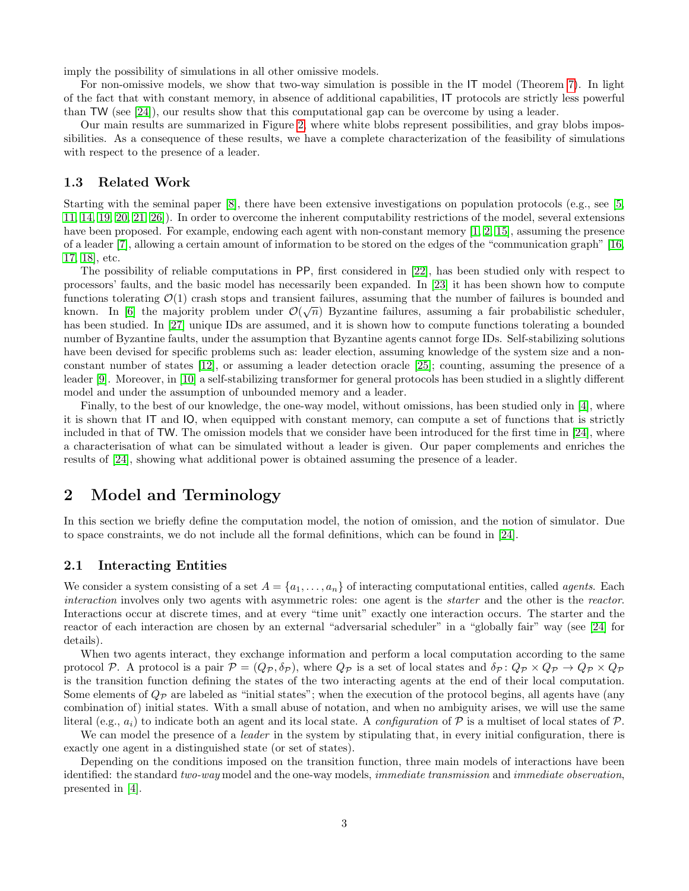imply the possibility of simulations in all other omissive models.

For non-omissive models, we show that two-way simulation is possible in the IT model (Theorem [7\)](#page-11-0). In light of the fact that with constant memory, in absence of additional capabilities, IT protocols are strictly less powerful than TW (see [\[24\]](#page-13-0)), our results show that this computational gap can be overcome by using a leader.

Our main results are summarized in Figure [2,](#page-4-1) where white blobs represent possibilities, and gray blobs impossibilities. As a consequence of these results, we have a complete characterization of the feasibility of simulations with respect to the presence of a leader.

#### 1.3 Related Work

Starting with the seminal paper [\[8\]](#page-12-11), there have been extensive investigations on population protocols (e.g., see [\[5,](#page-12-12) [11,](#page-12-13) [14,](#page-12-14) [19,](#page-12-1) [20,](#page-13-1) [21,](#page-13-2) [26\]](#page-13-3)). In order to overcome the inherent computability restrictions of the model, several extensions have been proposed. For example, endowing each agent with non-constant memory [\[1,](#page-12-3) [2,](#page-12-4) [15\]](#page-12-5), assuming the presence of a leader [\[7\]](#page-12-6), allowing a certain amount of information to be stored on the edges of the "communication graph" [\[16,](#page-12-7) [17,](#page-12-8) [18\]](#page-12-9), etc.

The possibility of reliable computations in PP, first considered in [\[22\]](#page-13-4), has been studied only with respect to processors' faults, and the basic model has necessarily been expanded. In [\[23\]](#page-13-5) it has been shown how to compute functions tolerating  $\mathcal{O}(1)$  crash stops and transient failures, assuming that the number of failures is bounded and known. In [\[6\]](#page-12-15) the majority problem under  $\mathcal{O}(\sqrt{n})$  Byzantine failures, assuming a fair probabilistic scheduler, has been studied. In [\[27\]](#page-13-6) unique IDs are assumed, and it is shown how to compute functions tolerating a bounded number of Byzantine faults, under the assumption that Byzantine agents cannot forge IDs. Self-stabilizing solutions have been devised for specific problems such as: leader election, assuming knowledge of the system size and a nonconstant number of states [\[12\]](#page-12-16), or assuming a leader detection oracle [\[25\]](#page-13-7); counting, assuming the presence of a leader [\[9\]](#page-12-17). Moreover, in [\[10\]](#page-12-18) a self-stabilizing transformer for general protocols has been studied in a slightly different model and under the assumption of unbounded memory and a leader.

Finally, to the best of our knowledge, the one-way model, without omissions, has been studied only in [\[4\]](#page-12-10), where it is shown that IT and IO, when equipped with constant memory, can compute a set of functions that is strictly included in that of TW. The omission models that we consider have been introduced for the first time in [\[24\]](#page-13-0), where a characterisation of what can be simulated without a leader is given. Our paper complements and enriches the results of [\[24\]](#page-13-0), showing what additional power is obtained assuming the presence of a leader.

# <span id="page-2-0"></span>2 Model and Terminology

In this section we briefly define the computation model, the notion of omission, and the notion of simulator. Due to space constraints, we do not include all the formal definitions, which can be found in [\[24\]](#page-13-0).

#### 2.1 Interacting Entities

We consider a system consisting of a set  $A = \{a_1, \ldots, a_n\}$  of interacting computational entities, called *agents*. Each interaction involves only two agents with asymmetric roles: one agent is the *starter* and the other is the *reactor*. Interactions occur at discrete times, and at every "time unit" exactly one interaction occurs. The starter and the reactor of each interaction are chosen by an external "adversarial scheduler" in a "globally fair" way (see [\[24\]](#page-13-0) for details).

When two agents interact, they exchange information and perform a local computation according to the same protocol P. A protocol is a pair  $\mathcal{P} = (Q_{\mathcal{P}}, \delta_{\mathcal{P}})$ , where  $Q_{\mathcal{P}}$  is a set of local states and  $\delta_{\mathcal{P}}: Q_{\mathcal{P}} \times Q_{\mathcal{P}} \to Q_{\mathcal{P}} \times Q_{\mathcal{P}}$ is the transition function defining the states of the two interacting agents at the end of their local computation. Some elements of  $Q_p$  are labeled as "initial states"; when the execution of the protocol begins, all agents have (any combination of) initial states. With a small abuse of notation, and when no ambiguity arises, we will use the same literal (e.g.,  $a_i$ ) to indicate both an agent and its local state. A *configuration* of P is a multiset of local states of P.

We can model the presence of a *leader* in the system by stipulating that, in every initial configuration, there is exactly one agent in a distinguished state (or set of states).

Depending on the conditions imposed on the transition function, three main models of interactions have been identified: the standard two-way model and the one-way models, *immediate transmission* and *immediate observation*, presented in [\[4\]](#page-12-10).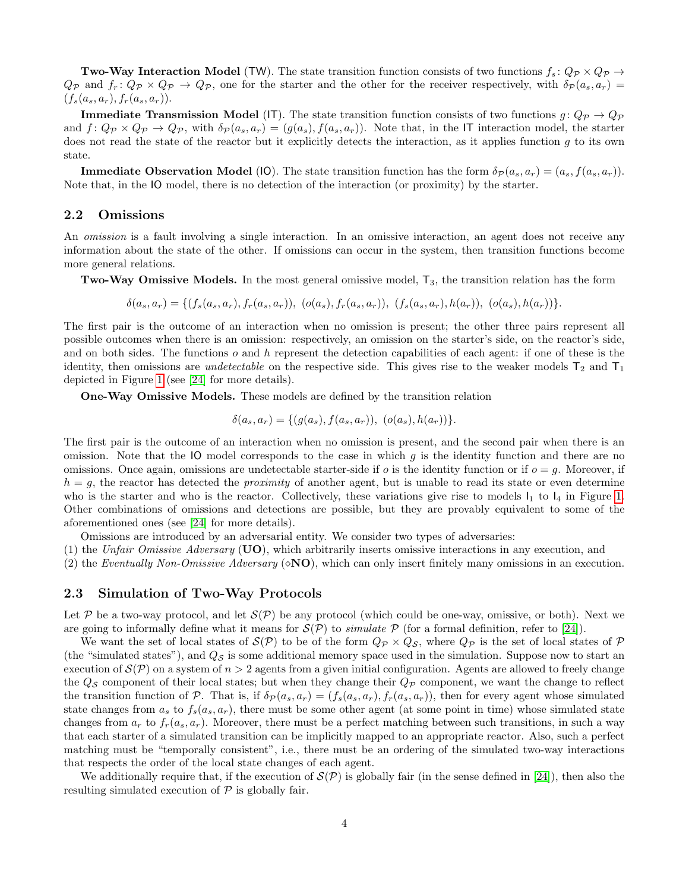**Two-Way Interaction Model** (TW). The state transition function consists of two functions  $f_s: Q_{\mathcal{P}} \times Q_{\mathcal{P}} \to$  $Q_{\mathcal{P}}$  and  $f_r: Q_{\mathcal{P}} \times Q_{\mathcal{P}} \to Q_{\mathcal{P}}$ , one for the starter and the other for the receiver respectively, with  $\delta_{\mathcal{P}}(a_s, a_r)$  $(f_s(a_s, a_r), f_r(a_s, a_r)).$ 

**Immediate Transmission Model (IT).** The state transition function consists of two functions  $g: Q_{\mathcal{P}} \to Q_{\mathcal{P}}$ and  $f: Q_{\mathcal{P}} \times Q_{\mathcal{P}} \to Q_{\mathcal{P}}$ , with  $\delta_{\mathcal{P}}(a_s, a_r) = (g(a_s), f(a_s, a_r))$ . Note that, in the IT interaction model, the starter does not read the state of the reactor but it explicitly detects the interaction, as it applies function  $g$  to its own state.

**Immediate Observation Model** (IO). The state transition function has the form  $\delta_P(a_s, a_r) = (a_s, f(a_s, a_r))$ . Note that, in the IO model, there is no detection of the interaction (or proximity) by the starter.

### 2.2 Omissions

An omission is a fault involving a single interaction. In an omissive interaction, an agent does not receive any information about the state of the other. If omissions can occur in the system, then transition functions become more general relations.

**Two-Way Omissive Models.** In the most general omissive model,  $T_3$ , the transition relation has the form

 $\delta(a_s, a_r) = \{ (f_s(a_s, a_r), f_r(a_s, a_r)), (o(a_s), f_r(a_s, a_r)), (f_s(a_s, a_r), h(a_r)), (o(a_s), h(a_r)) \}.$ 

The first pair is the outcome of an interaction when no omission is present; the other three pairs represent all possible outcomes when there is an omission: respectively, an omission on the starter's side, on the reactor's side, and on both sides. The functions  $o$  and  $h$  represent the detection capabilities of each agent: if one of these is the identity, then omissions are *undetectable* on the respective side. This gives rise to the weaker models  $T_2$  and  $T_1$ depicted in Figure [1](#page-4-0) (see [\[24\]](#page-13-0) for more details).

One-Way Omissive Models. These models are defined by the transition relation

$$
\delta(a_s, a_r) = \{ (g(a_s), f(a_s, a_r)), (o(a_s), h(a_r)) \}.
$$

The first pair is the outcome of an interaction when no omission is present, and the second pair when there is an omission. Note that the IO model corresponds to the case in which g is the identity function and there are no omissions. Once again, omissions are undetectable starter-side if  $o$  is the identity function or if  $o = g$ . Moreover, if  $h = g$ , the reactor has detected the *proximity* of another agent, but is unable to read its state or even determine who is the starter and who is the reactor. Collectively, these variations give rise to models  $I_1$  to  $I_4$  in Figure [1.](#page-4-0) Other combinations of omissions and detections are possible, but they are provably equivalent to some of the aforementioned ones (see [\[24\]](#page-13-0) for more details).

Omissions are introduced by an adversarial entity. We consider two types of adversaries:

(1) the Unfair Omissive Adversary ( $UO$ ), which arbitrarily inserts omissive interactions in any execution, and

(2) the Eventually Non-Omissive Adversary ( $\delta$ **NO**), which can only insert finitely many omissions in an execution.

#### <span id="page-3-0"></span>2.3 Simulation of Two-Way Protocols

Let P be a two-way protocol, and let  $S(\mathcal{P})$  be any protocol (which could be one-way, omissive, or both). Next we are going to informally define what it means for  $\mathcal{S}(\mathcal{P})$  to *simulate*  $\mathcal{P}$  (for a formal definition, refer to [\[24\]](#page-13-0)).

We want the set of local states of  $\mathcal{S}(\mathcal{P})$  to be of the form  $Q_{\mathcal{P}} \times Q_{\mathcal{S}}$ , where  $Q_{\mathcal{P}}$  is the set of local states of  $\mathcal P$ (the "simulated states"), and  $Q<sub>S</sub>$  is some additional memory space used in the simulation. Suppose now to start an execution of  $\mathcal{S}(\mathcal{P})$  on a system of  $n > 2$  agents from a given initial configuration. Agents are allowed to freely change the  $Q_{\mathcal{S}}$  component of their local states; but when they change their  $Q_{\mathcal{P}}$  component, we want the change to reflect the transition function of P. That is, if  $\delta_P(a_s, a_r) = (f_s(a_s, a_r), f_r(a_s, a_r))$ , then for every agent whose simulated state changes from  $a_s$  to  $f_s(a_s, a_r)$ , there must be some other agent (at some point in time) whose simulated state changes from  $a_r$  to  $f_r(a_s, a_r)$ . Moreover, there must be a perfect matching between such transitions, in such a way that each starter of a simulated transition can be implicitly mapped to an appropriate reactor. Also, such a perfect matching must be "temporally consistent", i.e., there must be an ordering of the simulated two-way interactions that respects the order of the local state changes of each agent.

We additionally require that, if the execution of  $\mathcal{S}(\mathcal{P})$  is globally fair (in the sense defined in [\[24\]](#page-13-0)), then also the resulting simulated execution of  $P$  is globally fair.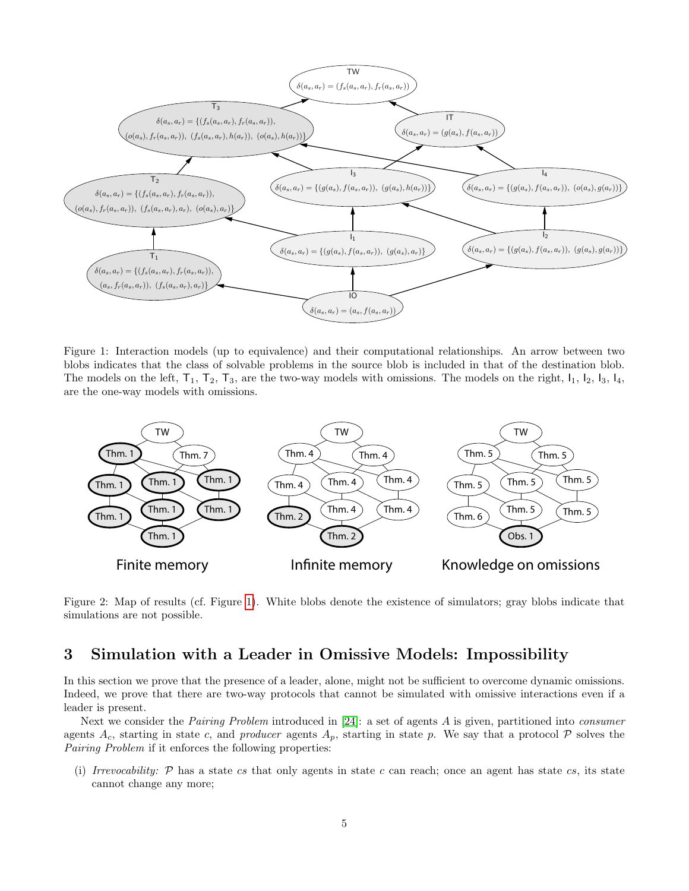<span id="page-4-0"></span>

Figure 1: Interaction models (up to equivalence) and their computational relationships. An arrow between two blobs indicates that the class of solvable problems in the source blob is included in that of the destination blob. The models on the left,  $T_1$ ,  $T_2$ ,  $T_3$ , are the two-way models with omissions. The models on the right,  $I_1$ ,  $I_2$ ,  $I_3$ ,  $I_4$ , are the one-way models with omissions.

<span id="page-4-1"></span>

Figure 2: Map of results (cf. Figure [1\)](#page-4-0). White blobs denote the existence of simulators; gray blobs indicate that simulations are not possible.

# 3 Simulation with a Leader in Omissive Models: Impossibility

In this section we prove that the presence of a leader, alone, might not be sufficient to overcome dynamic omissions. Indeed, we prove that there are two-way protocols that cannot be simulated with omissive interactions even if a leader is present.

Next we consider the *Pairing Problem* introduced in [\[24\]](#page-13-0): a set of agents A is given, partitioned into *consumer* agents  $A_c$ , starting in state c, and producer agents  $A_p$ , starting in state p. We say that a protocol  $P$  solves the Pairing Problem if it enforces the following properties:

(i) Irrevocability:  $P$  has a state cs that only agents in state c can reach; once an agent has state cs, its state cannot change any more;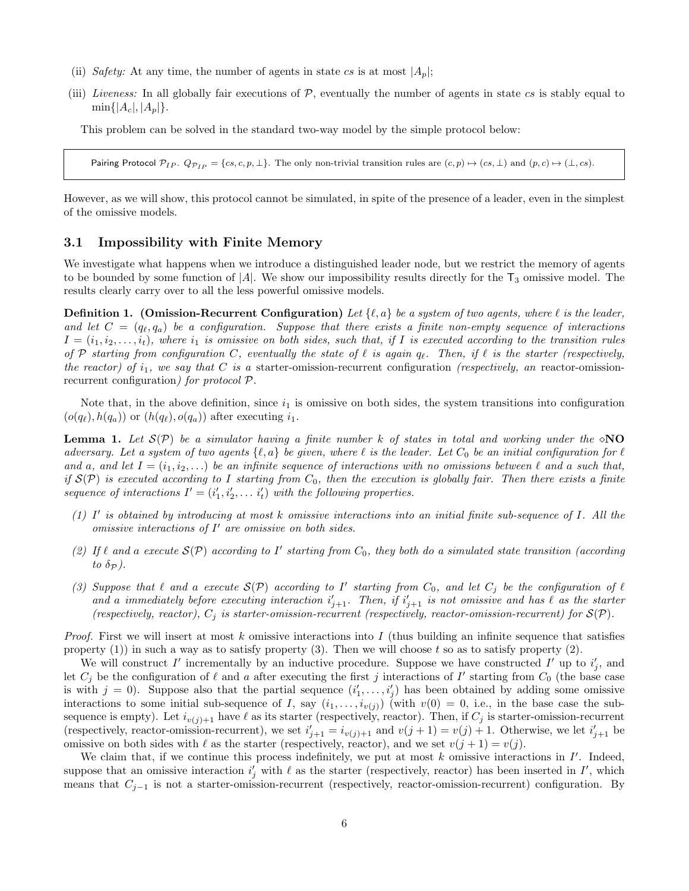- (ii) Safety: At any time, the number of agents in state cs is at most  $|A_n|$ ;
- (iii) Liveness: In all globally fair executions of  $P$ , eventually the number of agents in state cs is stably equal to  $\min\{|A_c|, |A_n|\}.$

This problem can be solved in the standard two-way model by the simple protocol below:

Pairing Protocol  $\mathcal{P}_{IP}$ .  $Q_{\mathcal{P}_{IP}} = \{cs, c, p, \perp\}$ . The only non-trivial transition rules are  $(c, p) \mapsto (cs, \perp)$  and  $(p, c) \mapsto (\perp, cs)$ .

However, as we will show, this protocol cannot be simulated, in spite of the presence of a leader, even in the simplest of the omissive models.

#### 3.1 Impossibility with Finite Memory

We investigate what happens when we introduce a distinguished leader node, but we restrict the memory of agents to be bounded by some function of |A|. We show our impossibility results directly for the  $T_3$  omissive model. The results clearly carry over to all the less powerful omissive models.

**Definition 1.** (Omission-Recurrent Configuration) Let  $\{\ell, a\}$  be a system of two agents, where  $\ell$  is the leader, and let  $C = (q_{\ell}, q_a)$  be a configuration. Suppose that there exists a finite non-empty sequence of interactions  $I = (i_1, i_2, \ldots, i_t)$ , where  $i_1$  is omissive on both sides, such that, if I is executed according to the transition rules of P starting from configuration C, eventually the state of  $\ell$  is again  $q_{\ell}$ . Then, if  $\ell$  is the starter (respectively, the reactor) of  $i_1$ , we say that C is a starter-omission-recurrent configuration (respectively, an reactor-omissionrecurrent configuration) for protocol P.

Note that, in the above definition, since  $i_1$  is omissive on both sides, the system transitions into configuration  $(o(q_\ell), h(q_a))$  or  $(h(q_\ell), o(q_a))$  after executing  $i_1$ .

<span id="page-5-0"></span>**Lemma 1.** Let  $S(\mathcal{P})$  be a simulator having a finite number k of states in total and working under the  $\circ$ NO adversary. Let a system of two agents  $\{\ell, a\}$  be given, where  $\ell$  is the leader. Let  $C_0$  be an initial configuration for  $\ell$ and a, and let  $I = (i_1, i_2, \ldots)$  be an infinite sequence of interactions with no omissions between  $\ell$  and a such that, if  $\mathcal{S}(\mathcal{P})$  is executed according to I starting from  $C_0$ , then the execution is globally fair. Then there exists a finite sequence of interactions  $I' = (i'_1, i'_2, \ldots, i'_t)$  with the following properties.

- (1)  $I'$  is obtained by introducing at most k omissive interactions into an initial finite sub-sequence of  $I$ . All the omissive interactions of  $I'$  are omissive on both sides.
- (2) If  $\ell$  and a execute  $\mathcal{S}(\mathcal{P})$  according to I' starting from  $C_0$ , they both do a simulated state transition (according to  $\delta_{\mathcal{P}}$ ).
- (3) Suppose that  $\ell$  and a execute  $\mathcal{S}(\mathcal{P})$  according to  $I'$  starting from  $C_0$ , and let  $C_j$  be the configuration of  $\ell$ and a immediately before executing interaction  $i'_{j+1}$ . Then, if  $i'_{j+1}$  is not omissive and has  $\ell$  as the starter (respectively, reactor),  $C_j$  is starter-omission-recurrent (respectively, reactor-omission-recurrent) for  $S(\mathcal{P})$ .

*Proof.* First we will insert at most k omissive interactions into I (thus building an infinite sequence that satisfies property (1)) in such a way as to satisfy property (3). Then we will choose t so as to satisfy property (2).

We will construct I' incrementally by an inductive procedure. Suppose we have constructed I' up to  $i'_j$ , and let  $C_j$  be the configuration of  $\ell$  and a after executing the first j interactions of I' starting from  $C_0$  (the base case is with  $j = 0$ ). Suppose also that the partial sequence  $(i'_1, \ldots, i'_j)$  has been obtained by adding some omissive interactions to some initial sub-sequence of I, say  $(i_1, \ldots, i_{v(j)})$  (with  $v(0) = 0$ , i.e., in the base case the subsequence is empty). Let  $i_{v(j)+1}$  have  $\ell$  as its starter (respectively, reactor). Then, if  $C_j$  is starter-omission-recurrent (respectively, reactor-omission-recurrent), we set  $i'_{j+1} = i_{v(j)+1}$  and  $v(j+1) = v(j) + 1$ . Otherwise, we let  $i'_{j+1}$  be omissive on both sides with  $\ell$  as the starter (respectively, reactor), and we set  $v(j + 1) = v(j)$ .

We claim that, if we continue this process indefinitely, we put at most  $k$  omissive interactions in  $I'$ . Indeed, suppose that an omissive interaction  $i'_j$  with  $\ell$  as the starter (respectively, reactor) has been inserted in  $I'$ , which means that  $C_{j-1}$  is not a starter-omission-recurrent (respectively, reactor-omission-recurrent) configuration. By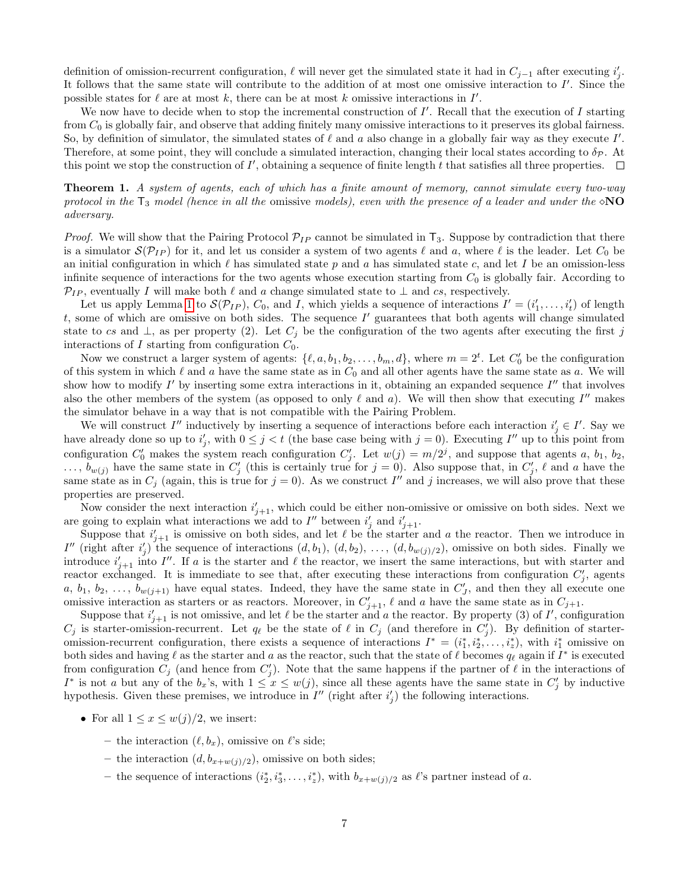definition of omission-recurrent configuration,  $\ell$  will never get the simulated state it had in  $C_{j-1}$  after executing  $i'_j$ . It follows that the same state will contribute to the addition of at most one omissive interaction to  $I'$ . Since the possible states for  $\ell$  are at most k, there can be at most k omissive interactions in  $I'$ .

We now have to decide when to stop the incremental construction of  $I'$ . Recall that the execution of  $I$  starting from  $C_0$  is globally fair, and observe that adding finitely many omissive interactions to it preserves its global fairness. So, by definition of simulator, the simulated states of  $\ell$  and  $a$  also change in a globally fair way as they execute  $I'$ . Therefore, at some point, they will conclude a simulated interaction, changing their local states according to  $\delta_{\mathcal{P}}$ . At this point we stop the construction of  $I'$ , obtaining a sequence of finite length  $t$  that satisfies all three properties.

<span id="page-6-0"></span>**Theorem 1.** A system of agents, each of which has a finite amount of memory, cannot simulate every two-way protocol in the  $T_3$  model (hence in all the omissive models), even with the presence of a leader and under the  $\delta N\Omega$ adversary.

*Proof.* We will show that the Pairing Protocol  $\mathcal{P}_{IP}$  cannot be simulated in  $\mathsf{T}_3$ . Suppose by contradiction that there is a simulator  $\mathcal{S}(\mathcal{P}_{IP})$  for it, and let us consider a system of two agents  $\ell$  and a, where  $\ell$  is the leader. Let  $C_0$  be an initial configuration in which  $\ell$  has simulated state p and a has simulated state c, and let I be an omission-less infinite sequence of interactions for the two agents whose execution starting from  $C_0$  is globally fair. According to  $\mathcal{P}_{IP}$ , eventually I will make both  $\ell$  and a change simulated state to  $\bot$  and cs, respectively.

Let us apply Lemma [1](#page-5-0) to  $\mathcal{S}(\mathcal{P}_{IP})$ ,  $C_0$ , and I, which yields a sequence of interactions  $I' = (i'_1, \ldots, i'_t)$  of length  $t$ , some of which are omissive on both sides. The sequence  $I'$  guarantees that both agents will change simulated state to cs and  $\perp$ , as per property (2). Let  $C_j$  be the configuration of the two agents after executing the first j interactions of  $I$  starting from configuration  $C_0$ .

Now we construct a larger system of agents:  $\{\ell, a, b_1, b_2, \ldots, b_m, d\}$ , where  $m = 2^t$ . Let  $C'_0$  be the configuration of this system in which  $\ell$  and a have the same state as in  $C_0$  and all other agents have the same state as a. We will show how to modify  $I'$  by inserting some extra interactions in it, obtaining an expanded sequence  $I''$  that involves also the other members of the system (as opposed to only  $\ell$  and  $a$ ). We will then show that executing  $I''$  makes the simulator behave in a way that is not compatible with the Pairing Problem.

We will construct  $I''$  inductively by inserting a sequence of interactions before each interaction  $i'_j \in I'$ . Say we have already done so up to  $i'_j$ , with  $0 \leq j < t$  (the base case being with  $j = 0$ ). Executing  $I''$  up to this point from configuration  $C'_0$  makes the system reach configuration  $C'_j$ . Let  $w(j) = m/2^j$ , and suppose that agents a,  $b_1$ ,  $b_2$ ,  $\ldots, b_{w(j)}$  have the same state in  $C'_j$  (this is certainly true for  $j = 0$ ). Also suppose that, in  $C'_j$ ,  $\ell$  and a have the same state as in  $C_j$  (again, this is true for  $j = 0$ ). As we construct I'' and j increases, we will also prove that these properties are preserved.

Now consider the next interaction  $i'_{j+1}$ , which could be either non-omissive or omissive on both sides. Next we are going to explain what interactions we add to  $I''$  between  $i'_j$  and  $i'_{j+1}$ .

Suppose that  $i'_{j+1}$  is omissive on both sides, and let  $\ell$  be the starter and a the reactor. Then we introduce in I'' (right after  $i'_j$ ) the sequence of interactions  $(d, b_1), (d, b_2), \ldots, (d, b_{w(j)/2})$ , omissive on both sides. Finally we introduce  $i'_{j+1}$  into I''. If a is the starter and  $\ell$  the reactor, we insert the same interactions, but with starter and reactor exchanged. It is immediate to see that, after executing these interactions from configuration  $C'_j$ , agents a,  $b_1, b_2, \ldots, b_{w(j+1)}$  have equal states. Indeed, they have the same state in  $C'_J$ , and then they all execute one omissive interaction as starters or as reactors. Moreover, in  $C'_{j+1}$ ,  $\ell$  and a have the same state as in  $C_{j+1}$ .

Suppose that  $i'_{j+1}$  is not omissive, and let  $\ell$  be the starter and a the reactor. By property (3) of  $I'$ , configuration  $C_j$  is starter-omission-recurrent. Let  $q_\ell$  be the state of  $\ell$  in  $C_j$  (and therefore in  $C'_j$ ). By definition of starteromission-recurrent configuration, there exists a sequence of interactions  $I^* = (i_1^*, i_2^*, \ldots, i_z^*)$ , with  $i_1^*$  omissive on both sides and having  $\ell$  as the starter and a as the reactor, such that the state of  $\ell$  becomes  $q_\ell$  again if  $I^*$  is executed from configuration  $C_j$  (and hence from  $C'_j$ ). Note that the same happens if the partner of  $\ell$  in the interactions of I<sup>\*</sup> is not a but any of the  $b_x$ 's, with  $1 \le x \le w(j)$ , since all these agents have the same state in  $C'_j$  by inductive hypothesis. Given these premises, we introduce in  $I''$  (right after  $i'_{j}$ ) the following interactions.

- For all  $1 \leq x \leq w(j)/2$ , we insert:
	- the interaction  $(\ell, b_x)$ , omissive on  $\ell$ 's side;
	- the interaction  $(d, b_{x+w(j)/2})$ , omissive on both sides;
	- the sequence of interactions  $(i_2^*, i_3^*, \ldots, i_z^*)$ , with  $b_{x+w(j)/2}$  as  $\ell$ 's partner instead of a.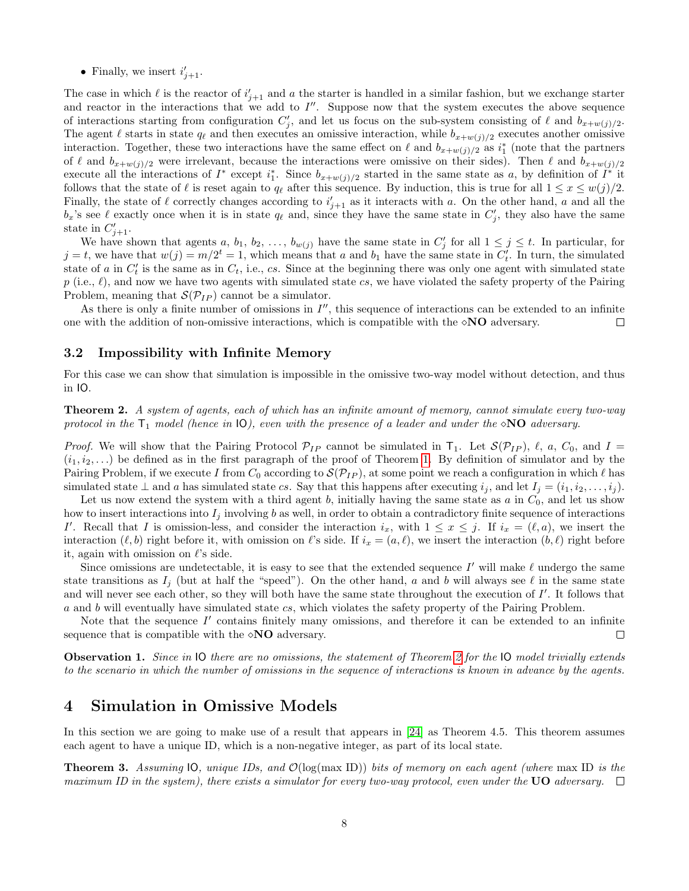• Finally, we insert  $i'_{j+1}$ .

The case in which  $\ell$  is the reactor of  $i'_{j+1}$  and a the starter is handled in a similar fashion, but we exchange starter and reactor in the interactions that we add to  $I''$ . Suppose now that the system executes the above sequence of interactions starting from configuration  $C'_j$ , and let us focus on the sub-system consisting of  $\ell$  and  $b_{x+w(j)/2}$ . The agent  $\ell$  starts in state  $q_\ell$  and then executes an omissive interaction, while  $b_{x+w(j)/2}$  executes another omissive interaction. Together, these two interactions have the same effect on  $\ell$  and  $b_{x+w(j)/2}$  as  $i_1^*$  (note that the partners of  $\ell$  and  $b_{x+w(j)/2}$  were irrelevant, because the interactions were omissive on their sides). Then  $\ell$  and  $b_{x+w(j)/2}$ execute all the interactions of  $I^*$  except  $i_1^*$ . Since  $b_{x+w(j)/2}$  started in the same state as a, by definition of  $I^*$  it follows that the state of  $\ell$  is reset again to  $q_{\ell}$  after this sequence. By induction, this is true for all  $1 \leq x \leq w(j)/2$ . Finally, the state of  $\ell$  correctly changes according to  $i'_{j+1}$  as it interacts with a. On the other hand, a and all the  $b_x$ 's see  $\ell$  exactly once when it is in state  $q_\ell$  and, since they have the same state in  $C'_j$ , they also have the same state in  $C'_{j+1}$ .

We have shown that agents a,  $b_1, b_2, \ldots, b_{w(j)}$  have the same state in  $C'_j$  for all  $1 \leq j \leq t$ . In particular, for  $j = t$ , we have that  $w(j) = m/2^t = 1$ , which means that a and  $b_1$  have the same state in  $C'_t$ . In turn, the simulated state of a in  $C'_t$  is the same as in  $C_t$ , i.e., cs. Since at the beginning there was only one agent with simulated state  $p$  (i.e.,  $\ell$ ), and now we have two agents with simulated state cs, we have violated the safety property of the Pairing Problem, meaning that  $\mathcal{S}(\mathcal{P}_{IP})$  cannot be a simulator.

As there is only a finite number of omissions in  $I''$ , this sequence of interactions can be extended to an infinite one with the addition of non-omissive interactions, which is compatible with the  $\lozenge NO$  adversary. □

#### 3.2 Impossibility with Infinite Memory

For this case we can show that simulation is impossible in the omissive two-way model without detection, and thus in IO.

<span id="page-7-0"></span>Theorem 2. A system of agents, each of which has an infinite amount of memory, cannot simulate every two-way protocol in the  $T_1$  model (hence in  $\mathsf{IO}$ ), even with the presence of a leader and under the  $\diamond$ NO adversary.

*Proof.* We will show that the Pairing Protocol  $\mathcal{P}_{IP}$  cannot be simulated in  $T_1$ . Let  $\mathcal{S}(\mathcal{P}_{IP})$ ,  $\ell$ ,  $a$ ,  $C_0$ , and  $I =$  $(i_1, i_2, \ldots)$  be defined as in the first paragraph of the proof of Theorem [1.](#page-6-0) By definition of simulator and by the Pairing Problem, if we execute I from  $C_0$  according to  $\mathcal{S}(\mathcal{P}_{IP})$ , at some point we reach a configuration in which  $\ell$  has simulated state  $\perp$  and a has simulated state cs. Say that this happens after executing  $i_j$ , and let  $I_j = (i_1, i_2, \ldots, i_j)$ .

Let us now extend the system with a third agent b, initially having the same state as  $a$  in  $C_0$ , and let us show how to insert interactions into  $I_j$  involving b as well, in order to obtain a contradictory finite sequence of interactions I'. Recall that I is omission-less, and consider the interaction  $i_x$ , with  $1 \leq x \leq j$ . If  $i_x = (\ell, a)$ , we insert the interaction  $(\ell, b)$  right before it, with omission on  $\ell$ 's side. If  $i_x = (a, \ell)$ , we insert the interaction  $(b, \ell)$  right before it, again with omission on  $\ell$ 's side.

Since omissions are undetectable, it is easy to see that the extended sequence  $I'$  will make  $\ell$  undergo the same state transitions as  $I_j$  (but at half the "speed"). On the other hand, a and b will always see  $\ell$  in the same state and will never see each other, so they will both have the same state throughout the execution of  $I'$ . It follows that a and b will eventually have simulated state cs, which violates the safety property of the Pairing Problem.

Note that the sequence  $I'$  contains finitely many omissions, and therefore it can be extended to an infinite sequence that is compatible with the  $\Diamond \mathbf{NO}$  adversary. □

Observation 1. Since in IO there are no omissions, the statement of Theorem [2](#page-7-0) for the IO model trivially extends to the scenario in which the number of omissions in the sequence of interactions is known in advance by the agents.

### 4 Simulation in Omissive Models

In this section we are going to make use of a result that appears in [\[24\]](#page-13-0) as Theorem 4.5. This theorem assumes each agent to have a unique ID, which is a non-negative integer, as part of its local state.

<span id="page-7-1"></span>**Theorem 3.** Assuming  $[0, \text{unique } \text{IDs}, \text{and } \mathcal{O}(\log(\text{max } \text{ID})) \text{ bits of memory on each agent (where } \text{max } \text{ID is the element})$ maximum ID in the system), there exists a simulator for every two-way protocol, even under the UO adversary.  $\Box$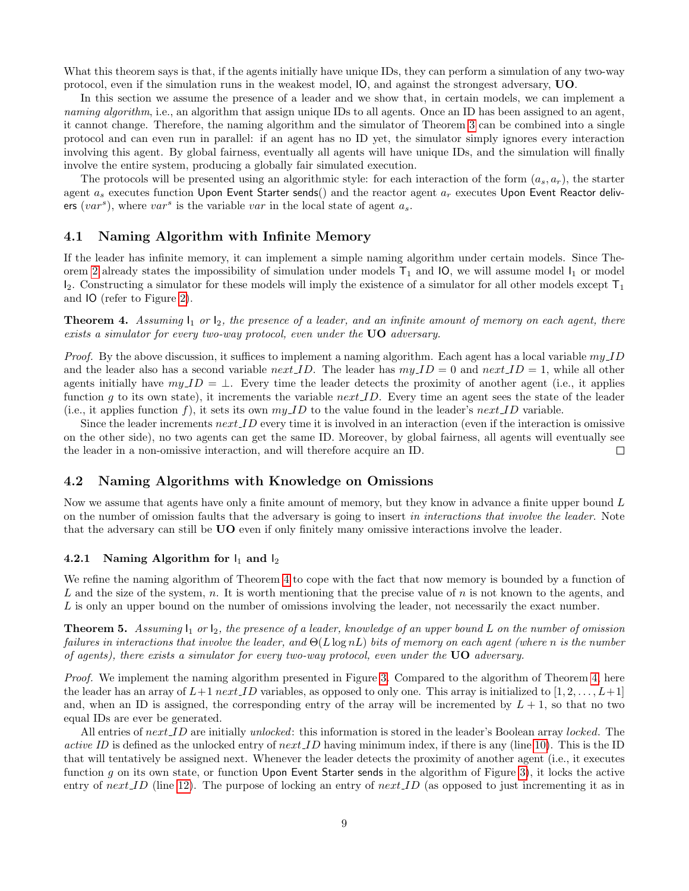What this theorem says is that, if the agents initially have unique IDs, they can perform a simulation of any two-way protocol, even if the simulation runs in the weakest model, IO, and against the strongest adversary, UO.

In this section we assume the presence of a leader and we show that, in certain models, we can implement a naming algorithm, i.e., an algorithm that assign unique IDs to all agents. Once an ID has been assigned to an agent, it cannot change. Therefore, the naming algorithm and the simulator of Theorem [3](#page-7-1) can be combined into a single protocol and can even run in parallel: if an agent has no ID yet, the simulator simply ignores every interaction involving this agent. By global fairness, eventually all agents will have unique IDs, and the simulation will finally involve the entire system, producing a globally fair simulated execution.

The protocols will be presented using an algorithmic style: for each interaction of the form  $(a_s, a_r)$ , the starter agent  $a_s$  executes function Upon Event Starter sends() and the reactor agent  $a_r$  executes Upon Event Reactor delivers  $(var<sup>s</sup>)$ , where  $var<sup>s</sup>$  is the variable var in the local state of agent  $a<sub>s</sub>$ .

#### 4.1 Naming Algorithm with Infinite Memory

If the leader has infinite memory, it can implement a simple naming algorithm under certain models. Since The-orem [2](#page-7-0) already states the impossibility of simulation under models  $T_1$  and IO, we will assume model  $I_1$  or model  $I_2$ . Constructing a simulator for these models will imply the existence of a simulator for all other models except  $T_1$ and IO (refer to Figure [2\)](#page-4-1).

<span id="page-8-0"></span>**Theorem 4.** Assuming  $I_1$  or  $I_2$ , the presence of a leader, and an infinite amount of memory on each agent, there exists a simulator for every two-way protocol, even under the UO adversary.

*Proof.* By the above discussion, it suffices to implement a naming algorithm. Each agent has a local variable  $my\angle ID$ and the leader also has a second variable next ID. The leader has  $myID = 0$  and  $next.ID = 1$ , while all other agents initially have  $my\_ID = \perp$ . Every time the leader detects the proximity of another agent (i.e., it applies function g to its own state), it increments the variable next  $ID$ . Every time an agent sees the state of the leader (i.e., it applies function f), it sets its own  $my.ID$  to the value found in the leader's next *LD* variable.

Since the leader increments  $nextID$  every time it is involved in an interaction (even if the interaction is omissive on the other side), no two agents can get the same ID. Moreover, by global fairness, all agents will eventually see the leader in a non-omissive interaction, and will therefore acquire an ID.  $\Box$ 

#### 4.2 Naming Algorithms with Knowledge on Omissions

Now we assume that agents have only a finite amount of memory, but they know in advance a finite upper bound L on the number of omission faults that the adversary is going to insert in interactions that involve the leader. Note that the adversary can still be UO even if only finitely many omissive interactions involve the leader.

#### 4.2.1 Naming Algorithm for  $I_1$  and  $I_2$

We refine the naming algorithm of Theorem [4](#page-8-0) to cope with the fact that now memory is bounded by a function of L and the size of the system, n. It is worth mentioning that the precise value of n is not known to the agents, and L is only an upper bound on the number of omissions involving the leader, not necessarily the exact number.

<span id="page-8-1"></span>**Theorem 5.** Assuming  $I_1$  or  $I_2$ , the presence of a leader, knowledge of an upper bound L on the number of omission failures in interactions that involve the leader, and  $\Theta(L \log nL)$  bits of memory on each agent (where n is the number of agents), there exists a simulator for every two-way protocol, even under the  $UO$  adversary.

Proof. We implement the naming algorithm presented in Figure [3.](#page-10-0) Compared to the algorithm of Theorem [4,](#page-8-0) here the leader has an array of  $L+1$  next ID variables, as opposed to only one. This array is initialized to  $[1, 2, \ldots, L+1]$ and, when an ID is assigned, the corresponding entry of the array will be incremented by  $L + 1$ , so that no two equal IDs are ever be generated.

All entries of next ID are initially unlocked: this information is stored in the leader's Boolean array locked. The *active ID* is defined as the unlocked entry of  $next\_ID$  having minimum index, if there is any (line [10\)](#page-10-0). This is the ID that will tentatively be assigned next. Whenever the leader detects the proximity of another agent (i.e., it executes function  $g$  on its own state, or function Upon Event Starter sends in the algorithm of Figure [3\)](#page-10-0), it locks the active entry of next ID (line [12\)](#page-10-0). The purpose of locking an entry of next ID (as opposed to just incrementing it as in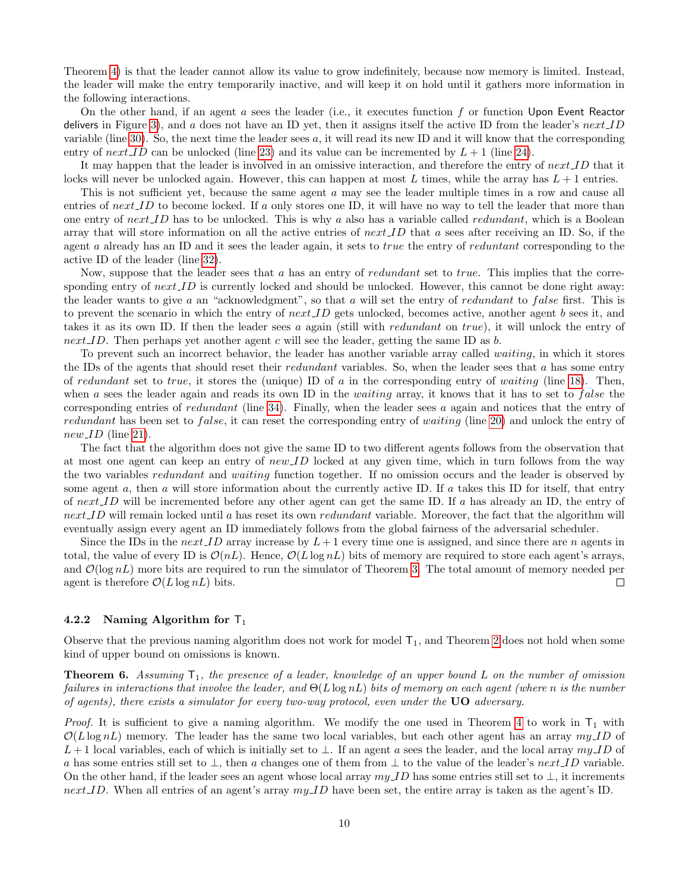Theorem [4\)](#page-8-0) is that the leader cannot allow its value to grow indefinitely, because now memory is limited. Instead, the leader will make the entry temporarily inactive, and will keep it on hold until it gathers more information in the following interactions.

On the other hand, if an agent a sees the leader (i.e., it executes function f or function Upon Event Reactor delivers in Figure [3\)](#page-10-0), and a does not have an ID yet, then it assigns itself the active ID from the leader's  $nextID$ variable (line [30\)](#page-10-0). So, the next time the leader sees  $a$ , it will read its new ID and it will know that the corresponding entry of next ID can be unlocked (line [23\)](#page-10-0) and its value can be incremented by  $L + 1$  (line [24\)](#page-10-0).

It may happen that the leader is involved in an omissive interaction, and therefore the entry of next ID that it locks will never be unlocked again. However, this can happen at most L times, while the array has  $L + 1$  entries.

This is not sufficient yet, because the same agent a may see the leader multiple times in a row and cause all entries of  $nextID$  to become locked. If a only stores one ID, it will have no way to tell the leader that more than one entry of  $next\_ID$  has to be unlocked. This is why a also has a variable called redundant, which is a Boolean array that will store information on all the active entries of  $nextID$  that a sees after receiving an ID. So, if the agent a already has an ID and it sees the leader again, it sets to *true* the entry of *reduntant* corresponding to the active ID of the leader (line [32\)](#page-10-0).

Now, suppose that the leader sees that a has an entry of *redundant* set to true. This implies that the corresponding entry of  $next.ID$  is currently locked and should be unlocked. However, this cannot be done right away: the leader wants to give a an "acknowledgment", so that a will set the entry of redundant to false first. This is to prevent the scenario in which the entry of  $next.ID$  gets unlocked, becomes active, another agent b sees it, and takes it as its own ID. If then the leader sees a again (still with *redundant* on true), it will unlock the entry of next ID. Then perhaps yet another agent c will see the leader, getting the same ID as  $b$ .

To prevent such an incorrect behavior, the leader has another variable array called waiting, in which it stores the IDs of the agents that should reset their *redundant* variables. So, when the leader sees that a has some entry of redundant set to true, it stores the (unique) ID of a in the corresponding entry of waiting (line [18\)](#page-10-0). Then, when a sees the leader again and reads its own ID in the *waiting* array, it knows that it has to set to *false* the corresponding entries of redundant (line [34\)](#page-10-0). Finally, when the leader sees a again and notices that the entry of redundant has been set to *false*, it can reset the corresponding entry of waiting (line [20\)](#page-10-0) and unlock the entry of  $new\_ID$  (line [21\)](#page-10-0).

The fact that the algorithm does not give the same ID to two different agents follows from the observation that at most one agent can keep an entry of  $new\_ID$  locked at any given time, which in turn follows from the way the two variables redundant and waiting function together. If no omission occurs and the leader is observed by some agent  $a$ , then  $a$  will store information about the currently active ID. If  $a$  takes this ID for itself, that entry of  $next.ID$  will be incremented before any other agent can get the same ID. If a has already an ID, the entry of next ID will remain locked until a has reset its own *redundant* variable. Moreover, the fact that the algorithm will eventually assign every agent an ID immediately follows from the global fairness of the adversarial scheduler.

Since the IDs in the next ID array increase by  $L+1$  every time one is assigned, and since there are n agents in total, the value of every ID is  $\mathcal{O}(nL)$ . Hence,  $\mathcal{O}(L \log nL)$  bits of memory are required to store each agent's arrays, and  $\mathcal{O}(\log nL)$  more bits are required to run the simulator of Theorem [3.](#page-7-1) The total amount of memory needed per agent is therefore  $\mathcal{O}(L \log nL)$  bits. agent is therefore  $\mathcal{O}(L \log nL)$  bits.

#### 4.2.2 Naming Algorithm for  $T_1$

Observe that the previous naming algorithm does not work for model  $T_1$ , and Theorem [2](#page-7-0) does not hold when some kind of upper bound on omissions is known.

<span id="page-9-0"></span>**Theorem 6.** Assuming  $T_1$ , the presence of a leader, knowledge of an upper bound L on the number of omission failures in interactions that involve the leader, and  $\Theta(L \log nL)$  bits of memory on each agent (where n is the number of agents), there exists a simulator for every two-way protocol, even under the  $UO$  adversary.

*Proof.* It is sufficient to give a naming algorithm. We modify the one used in Theorem [4](#page-8-0) to work in  $T_1$  with  $\mathcal{O}(L \log nL)$  memory. The leader has the same two local variables, but each other agent has an array  $my\,ID$  of L + 1 local variables, each of which is initially set to ⊥. If an agent a sees the leader, and the local array  $myID$  of a has some entries still set to  $\perp$ , then a changes one of them from  $\perp$  to the value of the leader's next ID variable. On the other hand, if the leader sees an agent whose local array  $my\_ID$  has some entries still set to  $\bot$ , it increments next ID. When all entries of an agent's array  $my$  ID have been set, the entire array is taken as the agent's ID.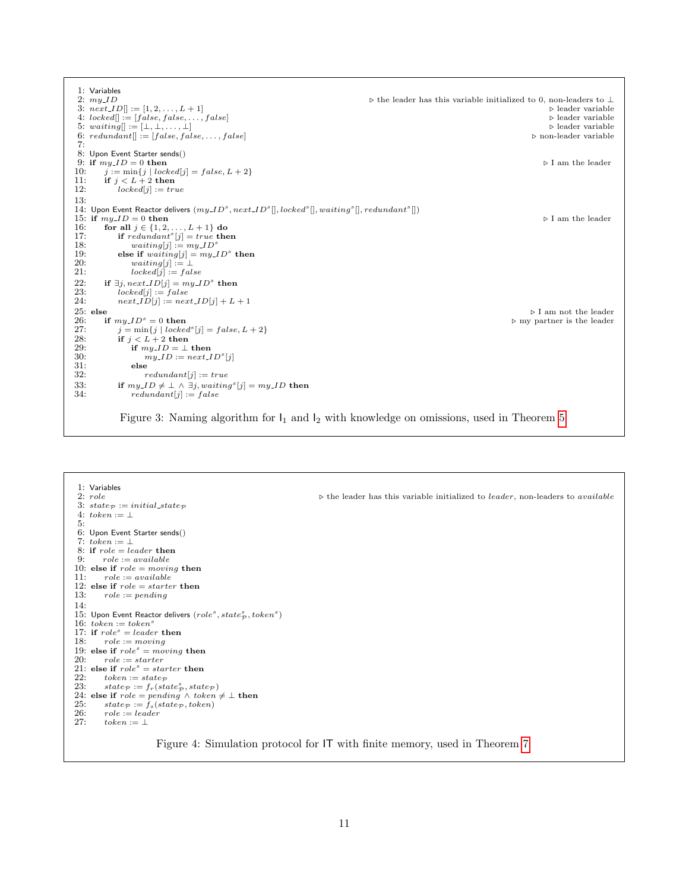<span id="page-10-0"></span>1: Variables<br>2:  $my\_ID$  $\triangleright$  the leader has this variable initialized to 0, non-leaders to  $\bot$   $\triangleright$  leader variable 3:  $nextLD[] := [1, 2, ..., L + 1]$ <br>
4:  $locked[] := [false, false, ..., false]$ <br>
b leader variable<br>
b leader variable 4: locked[] := [false, false, . . . , false] . leader variable 5: waiting[] := [⊥, ⊥, . . . , ⊥] . leader variable 6:  $redundant[] := [false, false, ..., false]$   $\triangleright$  non-leader variable 7: 8: Upon Event Starter sends() 9: if  $my.ID = 0$  then  $\triangleright \text{I am the leader}$ <br>10:  $j := \min\{j \mid locked[j] = false, L + 2\}$ 10:  $j := \min\{j \mid locked[j] = false, L + 2\}$ <br>11: **if**  $j < L + 2$  **then** 12:  $locked[j] := true$ 13: 14: Upon Event Reactor delivers  $(my\_ID^s, next\_ID^s[], locked^s[], waiting^s[], redundancy^s[],$ 15: if  $my\_ID = 0$  then <br>16: **for all**  $j \in \{1, 2, ..., L + 1\}$  do 16: **for all**  $j \in \{1, 2, ..., L + 1\}$  do<br>17: **if** redundant<sup>s</sup>[j] = true **then** 18:  $waiting[j] := my\_ID^s$ <br>19: **else if**  $waiting[j] = my\_ID^s$ 19: else if  $waiting[j] = my.ID^s$  then 20:  $\begin{array}{ll} 20: & \text{waiting}[j] := \perp \\ 21: & \text{locked}[j] := fal \end{array}$  $locked[j] := false$ 22: if  $\exists j, next.ID[j] = my.ID^s$  then<br>23:  $locked[j] := false$ 24:  $next\_ID[j] := next\_ID[j] + L + 1$ 25: else  $\triangleright$  I am not the leader  $\triangleright$  I am not the leader  $\triangleright$  I am not the leader  $\triangleright$  I am not the leader 26: if  $my\_ID^s = 0$  then  $\triangleright$  my partner is the leader  $27$ :  $j = min\{j \mid locked^s[j] = false, L + 2\}$ 27:  $j = \min\{j \mid locked^s[j] = false, L+2\}$ <br>
28: **if**  $j < L+2$  then 29: if  $my\_ID = \perp$  then<br>30:  $my\_ID := next\_I$ 30:  $my\_ID := next\_ID<sup>s</sup>[j]$ 31: else<br>32:  $r_0$  $redundant[j] := true$ 33: if  $my\_ID \neq \bot \land \exists j, waiting^s[j] = my\_ID$  then 34:  $redundant[j] := false$ 

Figure 3: Naming algorithm for  $I_1$  and  $I_2$  with knowledge on omissions, used in Theorem [5](#page-8-1)

#### 1: Variables<br>2:  $role$  $\triangleright$  the leader has this variable initialized to *leader*, non-leaders to *available* 3: state  $p := initial-state$ 4:  $token := \bot$ 5: 6: Upon Event Starter sends() 7:  $token := \perp$ 8: if  $role = leader$  then<br>9:  $role := available$  $role := available$ 10: else if  $role = moving$  then 11:  $role := available$ 12: else if  $role = starter$  then 13:  $role := pending$ 14: 15: Upon Event Reactor delivers  $(\mathit{role}^s, \mathit{state}^s_\mathcal{P}, \mathit{token}^s)$ 16:  $token := token^s$ <br>17: if  $role^s = leader$  then 18:  $role := moving$ 19: else if  $role^s = moving$  then<br>20:  $role := starter$  $role := starter$ 21: else if  $role^s = starter$  then<br>22: token := state 22: token := state  $p$ <br>23: state  $p := f_r(sta)$ 23:  $state_{\mathcal{P}} := f_r(state_{\mathcal{P}}^s, state_{\mathcal{P}})$ 24: else if  $role = pending \land token \neq \bot$  then<br>25:  $state_{\mathcal{P}} := f_s(state_{\mathcal{P}}, token)$ 26:  $role := leader$ <br>27:  $token := \perp$  $token := \bot$

Figure 4: Simulation protocol for IT with finite memory, used in Theorem [7](#page-11-0)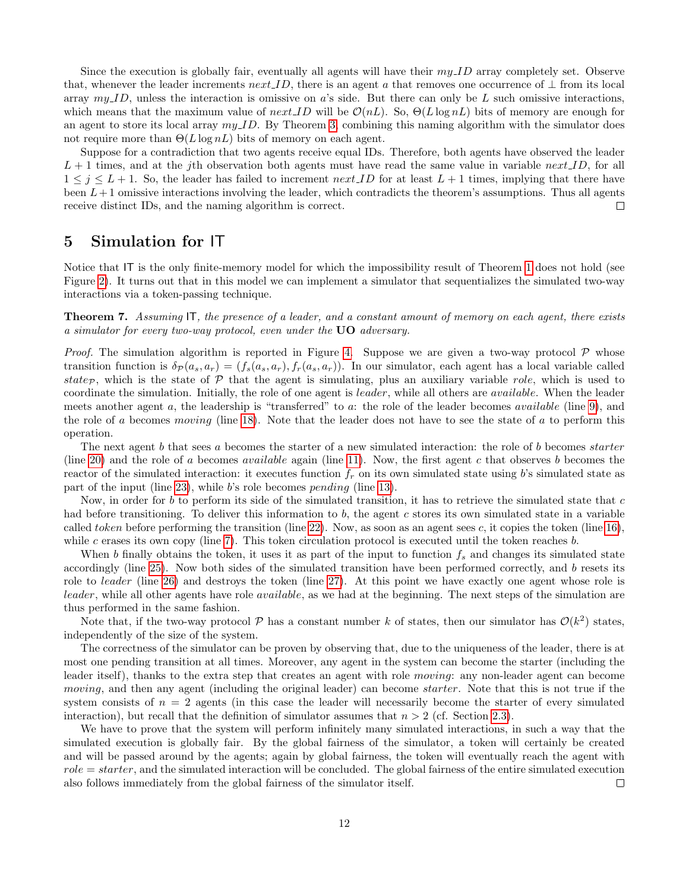Since the execution is globally fair, eventually all agents will have their  $my\,ID$  array completely set. Observe that, whenever the leader increments  $next.ID$ , there is an agent a that removes one occurrence of  $\perp$  from its local array  $my$  ID, unless the interaction is omissive on a's side. But there can only be L such omissive interactions, which means that the maximum value of  $next\_ID$  will be  $\mathcal{O}(nL)$ . So,  $\Theta(L \log nL)$  bits of memory are enough for an agent to store its local array  $my$  ID. By Theorem [3,](#page-7-1) combining this naming algorithm with the simulator does not require more than  $\Theta(L \log nL)$  bits of memory on each agent.

Suppose for a contradiction that two agents receive equal IDs. Therefore, both agents have observed the leader  $L + 1$  times, and at the jth observation both agents must have read the same value in variable next ID, for all  $1 \leq j \leq L+1$ . So, the leader has failed to increment next ID for at least  $L+1$  times, implying that there have been  $L+1$  omissive interactions involving the leader, which contradicts the theorem's assumptions. Thus all agents receive distinct IDs, and the naming algorithm is correct.  $\Box$ 

# 5 Simulation for IT

Notice that IT is the only finite-memory model for which the impossibility result of Theorem [1](#page-6-0) does not hold (see Figure [2\)](#page-4-1). It turns out that in this model we can implement a simulator that sequentializes the simulated two-way interactions via a token-passing technique.

<span id="page-11-0"></span>Theorem 7. Assuming IT, the presence of a leader, and a constant amount of memory on each agent, there exists a simulator for every two-way protocol, even under the UO adversary.

*Proof.* The simulation algorithm is reported in Figure [4.](#page-10-0) Suppose we are given a two-way protocol  $\mathcal P$  whose transition function is  $\delta \mathcal{P}(a_s, a_r) = (f_s(a_s, a_r), f_r(a_s, a_r))$ . In our simulator, each agent has a local variable called state<sub>P</sub>, which is the state of P that the agent is simulating, plus an auxiliary variable role, which is used to coordinate the simulation. Initially, the role of one agent is leader, while all others are available. When the leader meets another agent a, the leadership is "transferred" to a: the role of the leader becomes available (line [9\)](#page-10-0), and the role of a becomes moving (line [18\)](#page-10-0). Note that the leader does not have to see the state of a to perform this operation.

The next agent b that sees a becomes the starter of a new simulated interaction: the role of b becomes *starter* (line [20\)](#page-10-0) and the role of a becomes *available* again (line [11\)](#page-10-0). Now, the first agent c that observes b becomes the reactor of the simulated interaction: it executes function  $f_r$  on its own simulated state using b's simulated state as part of the input (line [23\)](#page-10-0), while b's role becomes *pending* (line [13\)](#page-10-0).

Now, in order for b to perform its side of the simulated transition, it has to retrieve the simulated state that  $c$ had before transitioning. To deliver this information to  $b$ , the agent  $c$  stores its own simulated state in a variable called token before performing the transition (line [22\)](#page-10-0). Now, as soon as an agent sees c, it copies the token (line [16\)](#page-10-0), while c erases its own copy (line [7\)](#page-10-0). This token circulation protocol is executed until the token reaches  $b$ .

When b finally obtains the token, it uses it as part of the input to function  $f_s$  and changes its simulated state accordingly (line [25\)](#page-10-0). Now both sides of the simulated transition have been performed correctly, and b resets its role to *leader* (line [26\)](#page-10-0) and destroys the token (line [27\)](#page-10-0). At this point we have exactly one agent whose role is leader, while all other agents have role *available*, as we had at the beginning. The next steps of the simulation are thus performed in the same fashion.

Note that, if the two-way protocol  $P$  has a constant number k of states, then our simulator has  $O(k^2)$  states, independently of the size of the system.

The correctness of the simulator can be proven by observing that, due to the uniqueness of the leader, there is at most one pending transition at all times. Moreover, any agent in the system can become the starter (including the leader itself), thanks to the extra step that creates an agent with role moving: any non-leader agent can become moving, and then any agent (including the original leader) can become *starter*. Note that this is not true if the system consists of  $n = 2$  agents (in this case the leader will necessarily become the starter of every simulated interaction), but recall that the definition of simulator assumes that  $n > 2$  (cf. Section [2.3\)](#page-3-0).

We have to prove that the system will perform infinitely many simulated interactions, in such a way that the simulated execution is globally fair. By the global fairness of the simulator, a token will certainly be created and will be passed around by the agents; again by global fairness, the token will eventually reach the agent with  $role = starter$ , and the simulated interaction will be concluded. The global fairness of the entire simulated execution also follows immediately from the global fairness of the simulator itself.  $\Box$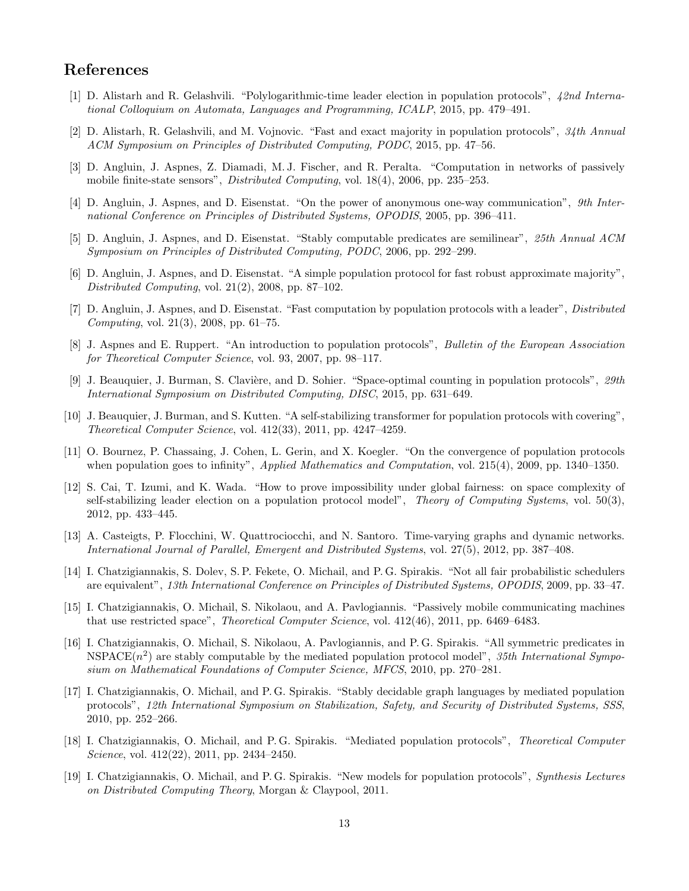# References

- <span id="page-12-3"></span>[1] D. Alistarh and R. Gelashvili. "Polylogarithmic-time leader election in population protocols", 42nd International Colloquium on Automata, Languages and Programming, ICALP, 2015, pp. 479–491.
- <span id="page-12-4"></span>[2] D. Alistarh, R. Gelashvili, and M. Vojnovic. "Fast and exact majority in population protocols", 34th Annual ACM Symposium on Principles of Distributed Computing, PODC, 2015, pp. 47–56.
- <span id="page-12-2"></span>[3] D. Angluin, J. Aspnes, Z. Diamadi, M. J. Fischer, and R. Peralta. "Computation in networks of passively mobile finite-state sensors", Distributed Computing, vol. 18(4), 2006, pp. 235–253.
- <span id="page-12-10"></span>[4] D. Angluin, J. Aspnes, and D. Eisenstat. "On the power of anonymous one-way communication", 9th International Conference on Principles of Distributed Systems, OPODIS, 2005, pp. 396–411.
- <span id="page-12-12"></span>[5] D. Angluin, J. Aspnes, and D. Eisenstat. "Stably computable predicates are semilinear", 25th Annual ACM Symposium on Principles of Distributed Computing, PODC, 2006, pp. 292–299.
- <span id="page-12-15"></span>[6] D. Angluin, J. Aspnes, and D. Eisenstat. "A simple population protocol for fast robust approximate majority", Distributed Computing, vol.  $21(2)$ ,  $2008$ , pp.  $87-102$ .
- <span id="page-12-6"></span>[7] D. Angluin, J. Aspnes, and D. Eisenstat. "Fast computation by population protocols with a leader", *Distributed* Computing, vol. 21(3), 2008, pp. 61–75.
- <span id="page-12-11"></span>[8] J. Aspnes and E. Ruppert. "An introduction to population protocols", Bulletin of the European Association for Theoretical Computer Science, vol. 93, 2007, pp. 98–117.
- <span id="page-12-17"></span>[9] J. Beauquier, J. Burman, S. Clavière, and D. Sohier. "Space-optimal counting in population protocols", 29th International Symposium on Distributed Computing, DISC, 2015, pp. 631–649.
- <span id="page-12-18"></span>[10] J. Beauquier, J. Burman, and S. Kutten. "A self-stabilizing transformer for population protocols with covering", Theoretical Computer Science, vol. 412(33), 2011, pp. 4247–4259.
- <span id="page-12-13"></span>[11] O. Bournez, P. Chassaing, J. Cohen, L. Gerin, and X. Koegler. "On the convergence of population protocols when population goes to infinity", *Applied Mathematics and Computation*, vol. 215(4), 2009, pp. 1340–1350.
- <span id="page-12-16"></span>[12] S. Cai, T. Izumi, and K. Wada. "How to prove impossibility under global fairness: on space complexity of self-stabilizing leader election on a population protocol model", Theory of Computing Systems, vol.  $50(3)$ , 2012, pp. 433–445.
- <span id="page-12-0"></span>[13] A. Casteigts, P. Flocchini, W. Quattrociocchi, and N. Santoro. Time-varying graphs and dynamic networks. International Journal of Parallel, Emergent and Distributed Systems, vol. 27(5), 2012, pp. 387–408.
- <span id="page-12-14"></span>[14] I. Chatzigiannakis, S. Dolev, S. P. Fekete, O. Michail, and P. G. Spirakis. "Not all fair probabilistic schedulers are equivalent", 13th International Conference on Principles of Distributed Systems, OPODIS, 2009, pp. 33–47.
- <span id="page-12-5"></span>[15] I. Chatzigiannakis, O. Michail, S. Nikolaou, and A. Pavlogiannis. "Passively mobile communicating machines that use restricted space", Theoretical Computer Science, vol. 412(46), 2011, pp. 6469–6483.
- <span id="page-12-7"></span>[16] I. Chatzigiannakis, O. Michail, S. Nikolaou, A. Pavlogiannis, and P. G. Spirakis. "All symmetric predicates in  $NSPACE(n<sup>2</sup>)$  are stably computable by the mediated population protocol model", 35th International Symposium on Mathematical Foundations of Computer Science, MFCS, 2010, pp. 270–281.
- <span id="page-12-8"></span>[17] I. Chatzigiannakis, O. Michail, and P. G. Spirakis. "Stably decidable graph languages by mediated population protocols", 12th International Symposium on Stabilization, Safety, and Security of Distributed Systems, SSS, 2010, pp. 252–266.
- <span id="page-12-9"></span>[18] I. Chatzigiannakis, O. Michail, and P. G. Spirakis. "Mediated population protocols", Theoretical Computer Science, vol. 412(22), 2011, pp. 2434-2450.
- <span id="page-12-1"></span>[19] I. Chatzigiannakis, O. Michail, and P. G. Spirakis. "New models for population protocols", Synthesis Lectures on Distributed Computing Theory, Morgan & Claypool, 2011.